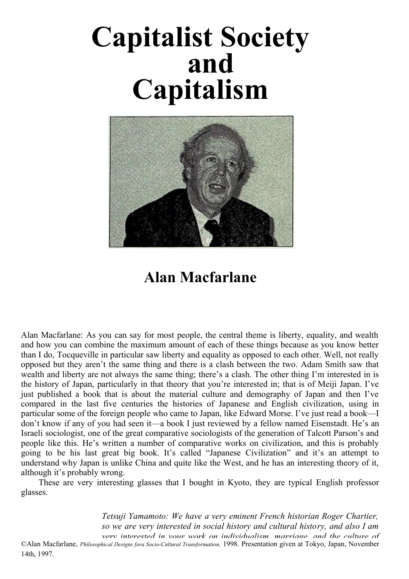# **Capitalist Society and Capitalism**



# **Alan Macfarlane**

Alan Macfarlane: As you can say for most people, the central theme is liberty, equality, and wealth and how you can combine the maximum amount of each of these things because as you know better than I do, Tocqueville in particular saw liberty and equality as opposed to each other. Well, not really opposed but they aren't the same thing and there is a clash between the two. Adam Smith saw that wealth and liberty are not always the same thing; there's a clash. The other thing I'm interested in is the history of Japan, particularly in that theory that you're interested in; that is of Meiji Japan. I've just published a book that is about the material culture and demography of Japan and then I've compared in the last five centuries the histories of Japanese and English civilization, using in particular some of the foreign people who came to Japan, like Edward Morse. I've just read a book—I don't know if any of you had seen it—a book I just reviewed by a fellow named Eisenstadt. He's an Israeli sociologist, one of the great comparative sociologists of the generation of Talcott Parson's and people like this. He's written a number of comparative works on civilization, and this is probably going to be his last great big book. It's called "Japanese Civilization" and it's an attempt to understand why Japan is unlike China and quite like the West, and he has an interesting theory of it, although it's probably wrong.

These are very interesting glasses that I bought in Kyoto, they are typical English professor glasses.

> *Tetsuji Yamamoto: We have a very eminent French historian Roger Chartier, so we are very interested in social history and cultural history, and also I am very interested in your work on individualism, marriage, and the culture of*

*capitalism. First, we want to ask you why you* ©Alan Macfarlane, *Philosophical Designs fora Socio-Cnltural Transformation,* 1998. Presentation given at Tokyo, Japan, November 14th, 1997.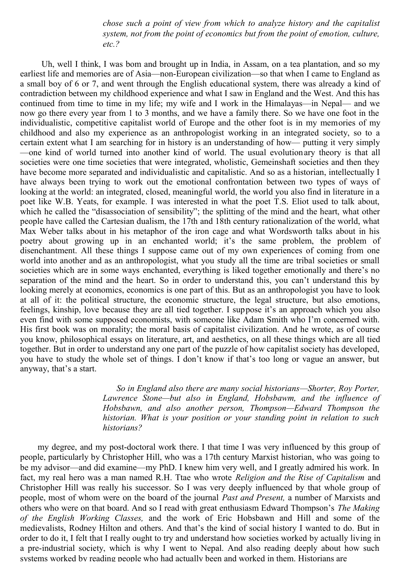*chose such a point of view from which to analyze history and the capitalist system, not from the point of economics but from the point of emotion, culture, etc.?*

Uh, well I think, I was bom and brought up in India, in Assam, on a tea plantation, and so my earliest life and memories are of Asia—non-European civilization—so that when I came to England as a small boy of 6 or 7, and went through the English educational system, there was already a kind of contradiction between my childhood experience and what I saw in England and the West. And this has continued from time to time in my life; my wife and I work in the Himalayas—in Nepal— and we now go there every year from 1 to 3 months, and we have a family there. So we have one foot in the individualistic, competitive capitalist world of Europe and the other foot is in my memories of my childhood and also my experience as an anthropologist working in an integrated society, so to a certain extent what I am searching for in history is an understanding of how— putting it very simply —one kind of world turned into another kind of world. The usual evolutionary theory is that all societies were one time societies that were integrated, wholistic, Gemeinshaft societies and then they have become more separated and individualistic and capitalistic. And so as a historian, intellectually I have always been trying to work out the emotional confrontation between two types of ways of looking at the world: an integrated, closed, meaningful world, the world you also find in literature in a poet like W.B. Yeats, for example. I was interested in what the poet T.S. Eliot used to talk about, which he called the "disassociation of sensibility"; the splitting of the mind and the heart, what other people have called the Cartesian dualism, the 17th and 18th century rationalization of the world, what Max Weber talks about in his metaphor of the iron cage and what Wordsworth talks about in his poetry about growing up in an enchanted world; it's the same problem, the problem of disenchantment. All these things I suppose came out of my own experiences of coming from one world into another and as an anthropologist, what you study all the time are tribal societies or small societies which are in some ways enchanted, everything is liked together emotionally and there's no separation of the mind and the heart. So in order to understand this, you can't understand this by looking merely at economics, economics is one part of this. But as an anthropologist you have to look at all of it: the political structure, the economic structure, the legal structure, but also emotions, feelings, kinship, love because they are all tied together. I suppose it's an approach which you also even find with some supposed economists, with someone like Adam Smith who I'm concerned with. His first book was on morality; the moral basis of capitalist civilization. And he wrote, as of course you know, philosophical essays on literature, art, and aesthetics, on all these things which are all tied together. But in order to understand any one part of the puzzle of how capitalist society has developed, you have to study the whole set of things. I don't know if that's too long or vague an answer, but anyway, that's a start.

> *So in England also there are many social historians—Shorter, Roy Porter, Lawrence Stone—but also in England, Hobsbawm, and the influence of Hobsbawn, and also another person, Thompson—Edward Thompson the historian. What is your position or your standing point in relation to such historians?*

my degree, and my post-doctoral work there. I that time I was very influenced by this group of people, particularly by Christopher Hill, who was a 17th century Marxist historian, who was going to be my advisor—and did examine—my PhD. I knew him very well, and I greatly admired his work. In fact, my real hero was a man named R.H. Ttae who wrote *Religion and the Rise of Capitalism* and Christopher Hill was really his successor. So I was very deeply influenced by that whole group of people, most of whom were on the board of the journal *Past and Present,* a number of Marxists and others who were on that board. And so I read with great enthusiasm Edward Thompson's *The Making of the English Working Classes,* and the work of Eric Hobsbawn and Hill and some of the medievalists, Rodney Hilton and others. And that's the kind of social history I wanted to do. But in order to do it, I felt that I really ought to try and understand how societies worked by actually living in a pre-industrial society, which is why I went to Nepal. And also reading deeply about how such systems worked by reading people who had actually been and worked in them. Historians are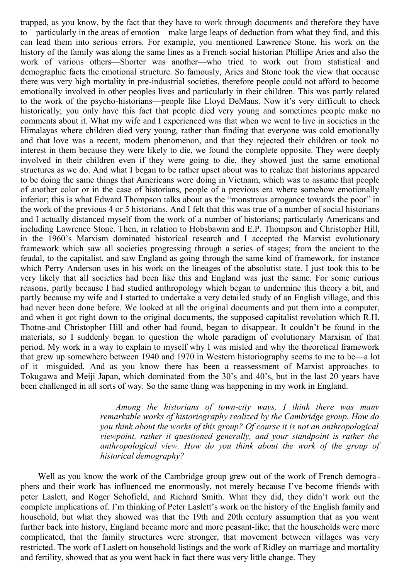trapped, as you know, by the fact that they have to work through documents and therefore they have to—particularly in the areas of emotion—make large leaps of deduction from what they find, and this can lead them into serious errors. For example, you mentioned Lawrence Stone, his work on the history of the family was along the same lines as a French social historian Phillipe Aries and also the work of various others—Shorter was another—who tried to work out from statistical and demographic facts the emotional structure. So famously, Aries and Stone took the view that oecause there was very high mortality in pre-industrial societies, therefore people could not afford to become emotionally involved in other peoples lives and particularly in their children. This was partly related to the work of the psycho-historians—people like Lloyd DeMaus. Now it's very difficult to check historically; you only have this fact that people died very young and sometimes people make no comments about it. What my wife and I experienced was that when we went to live in societies in the Himalayas where children died very young, rather than finding that everyone was cold emotionally and that love was a recent, modem phenomenon, and that they rejected their children or took no interest in them because they were likely to die, we found the complete opposite. They were deeply involved in their children even if they were going to die, they showed just the same emotional structures as we do. And what I began to be rather upset about was to realize that historians appeared to be doing the same things that Americans were doing in Vietnam, which was to assume that people of another color or in the case of historians, people of a previous era where somehow emotionally inferior; this is what Edward Thompson talks about as the "monstrous arrogance towards the poor" in the work of the previous 4 or 5 historians. And I felt that this was true of a number of social historians and I actually distanced myself from the work of a number of historians; particularly Americans and including Lawrence Stone. Then, in relation to Hobsbawm and E.P. Thompson and Christopher Hill, in the 1960's Marxism dominated historical research and I accepted the Marxist evolutionary framework which saw all societies progressing through a series of stages; from the ancient to the feudal, to the capitalist, and saw England as going through the same kind of framework, for instance which Perry Anderson uses in his work on the lineages of the absolutist state. I just took this to be very likely that all societies had been like this and England was just the same. For some curious reasons, partly because I had studied anthropology which began to undermine this theory a bit, and partly because my wife and I started to undertake a very detailed study of an English village, and this had never been done before. We looked at all the original documents and put them into a computer, and when it got right down to the original documents, the supposed capitalist revolution which R.H. Thotne-and Christopher Hill and other had found, began to disappear. It couldn't be found in the materials, so I suddenly began to question the whole paradigm of evolutionary Marxism of that period. My work in a way to explain to myself why I was misled and why the theoretical framework that grew up somewhere between 1940 and 1970 in Western historiography seems to me to be—a lot of it—misguided. And as you know there has been a reassessment of Marxist approaches to Tokugawa and Meiji Japan, which dominated from the 30's and 40's, but in the last 20 years have been challenged in all sorts of way. So the same thing was happening in my work in England.

> *Among the historians of town-city ways, I think there was many remarkable works of historiography realized by the Cambridge group. How do you think about the works of this group? Of course it is not an anthropological viewpoint, rather it questioned generally, and your standpoint is rather the anthropological view. How do you think about the work of the group of historical demography?*

Well as you know the work of the Cambridge group grew out of the work of French demogra phers and their work has influenced me enormously, not merely because I've become friends with peter Laslett, and Roger Schofield, and Richard Smith. What they did, they didn't work out the complete implications of. I'm thinking of Peter Laslett's work on the history of the English family and household, but what they showed was that the 19th and 20th century assumption that as you went further back into history, England became more and more peasant-like; that the households were more complicated, that the family structures were stronger, that movement between villages was very restricted. The work of Laslett on household listings and the work of Ridley on marriage and mortality and fertility, showed that as you went back in fact there was very little change. They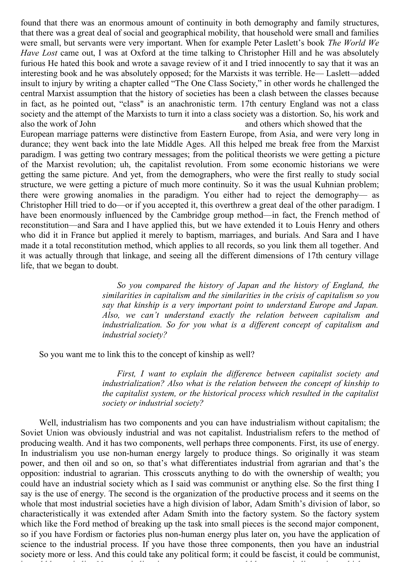found that there was an enormous amount of continuity in both demography and family structures, that there was a great deal of social and geographical mobility, that household were small and families were small, but servants were very important. When for example Peter Laslett's book *The World We Have Lost* came out, I was at Oxford at the time talking to Christopher Hill and he was absolutely furious He hated this book and wrote a savage review of it and I tried innocently to say that it was an interesting book and he was absolutely opposed; for the Marxists it was terrible. He— Laslett—added insult to injury by writing a chapter called "The One Class Society," in other words he challenged the central Marxist assumption that the history of societies has been a clash between the classes because in fact, as he pointed out, "class" is an anachronistic term. 17th century England was not a class society and the attempt of the Marxists to turn it into a class society was a distortion. So, his work and also the work of John and others which showed that the European marriage patterns were distinctive from Eastern Europe, from Asia, and were very long in durance; they went back into the late Middle Ages. All this helped me break free from the Marxist paradigm. I was getting two contrary messages; from the political theorists we were getting a picture of the Marxist revolution; uh, the capitalist revolution. From some economic historians we were getting the same picture. And yet, from the demographers, who were the first really to study social structure, we were getting a picture of much more continuity. So it was the usual Kuhnian problem;

there were growing anomalies in the paradigm. You either had to reject the demography— as Christopher Hill tried to do—or if you accepted it, this overthrew a great deal of the other paradigm. I have been enormously influenced by the Cambridge group method—in fact, the French method of reconstitution—and Sara and I have applied this, but we have extended it to Louis Henry and others who did it in France but applied it merely to baptism, marriages, and burials. And Sara and I have made it a total reconstitution method, which applies to all records, so you link them all together. And it was actually through that linkage, and seeing all the different dimensions of 17th century village life, that we began to doubt.

> *So you compared the history of Japan and the history of England, the similarities in capitalism and the similarities in the crisis of capitalism so you say that kinship is a very important point to understand Europe and Japan. Also, we can't understand exactly the relation between capitalism and industrialization. So for you what is a different concept of capitalism and industrial society?*

So you want me to link this to the concept of kinship as well?

*First, I want to explain the difference between capitalist society and industrialization? Also what is the relation between the concept of kinship to the capitalist system, or the historical process which resulted in the capitalist society or industrial society?*

Well, industrialism has two components and you can have industrialism without capitalism; the Soviet Union was obviously industrial and was not capitalist. Industrialism refers to the method of producing wealth. And it has two components, well perhaps three components. First, its use of energy. In industrialism you use non-human energy largely to produce things. So originally it was steam power, and then oil and so on, so that's what differentiates industrial from agrarian and that's the opposition: industrial to agrarian. This crosscuts anything to do with the ownership of wealth; you could have an industrial society which as I said was communist or anything else. So the first thing I say is the use of energy. The second is the organization of the productive process and it seems on the whole that most industrial societies have a high division of labor, Adam Smith's division of labor, so characteristically it was extended after Adam Smith into the factory system. So the factory system which like the Ford method of breaking up the task into small pieces is the second major component, so if you have Fordism or factories plus non-human energy plus later on, you have the application of science to the industrial process. If you have those three components, then you have an industrial society more or less. And this could take any political form; it could be fascist, it could be communist,

it could be capitalist. Now, capitalism is very separate; you could have a capitalist society which was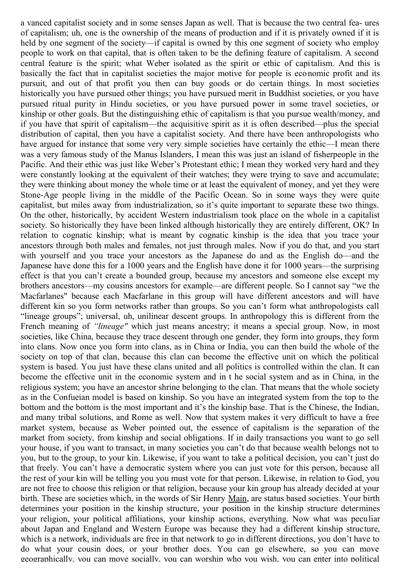a vanced capitalist society and in some senses Japan as well. That is because the two central fea- ures of capitalism; uh, one is the ownership of the means of production and if it is privately owned if it is held by one segment of the society—if capital is owned by this one segment of society who employ people to work on that capital, that is often taken to be the defining feature of capitalism. A second central feature is the spirit; what Weber isolated as the spirit or ethic of capitalism. And this is basically the fact that in capitalist societies the major motive for people is economic profit and its pursuit, and out of that profit you then can buy goods or do certain things. In most societies historically you have pursued other things; you have pursued merit in Buddhist societies, or you have pursued ritual purity in Hindu societies, or you have pursued power in some travel societies, or kinship or other goals. But the distinguishing ethic of capitalism is that you pursue wealth/money, and if you have that spirit of capitalism—the acquisitive spirit as it is often described—plus the special distribution of capital, then you have a capitalist society. And there have been anthropologists who have argued for instance that some very very simple societies have certainly the ethic—I mean there was a very famous study of the Manus Islanders, I mean this was just an island of fisherpeople in the Pacific. And their ethic was just like Weber's Protestant ethic; I mean they worked very hard and they were constantly looking at the equivalent of their watches; they were trying to save and accumulate; they were thinking about money the whole time or at least the equivalent of money, and yet they were Stone-Age people living in the middle of the Pacific Ocean. So in some ways they were quite capitalist, but miles away from industrialization, so it's quite important to separate these two things. On the other, historically, by accident Western industrialism took place on the whole in a capitalist society. So historically they have been linked although historically they are entirely different, OK? In relation to cognatic kinship; what is meant by cognatic kinship is the idea that you trace your ancestors through both males and females, not just through males. Now if you do that, and you start with yourself and you trace your ancestors as the Japanese do and as the English do—and the Japanese have done this for a 1000 years and the English have done it for 1000 years—the surprising effect is that you can't create a bounded group, because my ancestors and someone else except my brothers ancestors—my cousins ancestors for example—are different people. So I cannot say "we the Macfarlanes" because each Macfarlane in this group will have different ancestors and will have different kin so you form networks rather than groups. So you can't form what anthropologists call "lineage groups"; universal, uh, unilinear descent groups. In anthropology this is different from the French meaning of *"lineage"* which just means ancestry; it means a special group. Now, in most societies, like China, because they trace descent through one gender, they form into groups, they form into clans. Now once you form into clans, as in China or India, you can then build the whole of the society on top of that clan, because this clan can become the effective unit on which the political system is based. You just have these clans united and all politics is controlled within the clan. It can become the effective unit in the economic system and in t he social system and as in China, in the religious system; you have an ancestor shrine belonging to the clan. That means that the whole society as in the Confueian model is based on kinship. So you have an integrated system from the top to the bottom and the bottom is the most important and it's the kinship base. That is the Chinese, the Indian, and many tribal solutions, and Rome as well. Now that system makes it very difficult to have a free market system, because as Weber pointed out, the essence of capitalism is the separation of the market from society, from kinship and social obligations. If in daily transactions you want to go sell your house, if you want to transact, in many societies you can't do that because wealth belongs not to you, but to the group, to your kin. Likewise, if you want to take a political decision, you can't just do that freely. You can't have a democratic system where you can just vote for this person, because all the rest of your kin will be telling you you must vote for that person. Likewise, in relation to God, you are not free to choose this religion or that religion, because your kin group has already decided at your birth. These are societies which, in the words of Sir Henry Main, are status based societies. Your birth determines your position in the kinship structure, your position in the kinship structure determines your religion, your political affiliations, your kinship actions, everything. Now what was peculiar about Japan and England and Western Europe was because they had a different kinship structure, which is a network, individuals are free in that network to go in different directions, you don't have to do what your cousin does, or your brother does. You can go elsewhere, so you can move geographically, you can move socially, you can worship who you wish, you can enter into political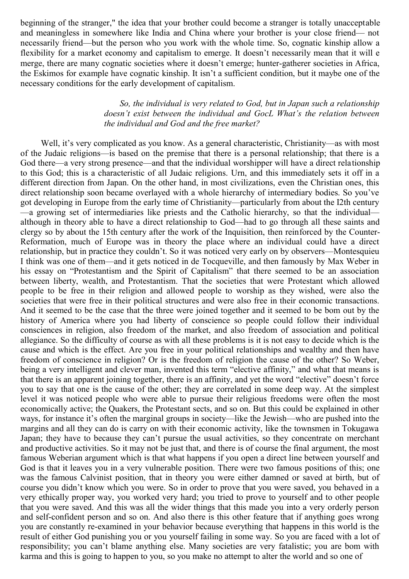beginning of the stranger," the idea that your brother could become a stranger is totally unacceptable and meaningless in somewhere like India and China where your brother is your close friend— not necessarily friend—but the person who you work with the whole time. So, cognatic kinship allow a flexibility for a market economy and capitalism to emerge. It doesn't necessarily mean that it will e merge, there are many cognatic societies where it doesn't emerge; hunter-gatherer societies in Africa, the Eskimos for example have cognatic kinship. It isn't a sufficient condition, but it maybe one of the necessary conditions for the early development of capitalism.

#### *So, the individual is very related to God, but in Japan such a relationship doesn't exist between the individual and GocL What's the relation between the individual and God and the free market?*

Well, it's very complicated as you know. As a general characteristic, Christianity—as with most of the Judaic religions—is based on the premise that there is a personal relationship; that there is a God there—a very strong presence—and that the individual worshipper will have a direct relationship to this God; this is a characteristic of all Judaic religions. Urn, and this immediately sets it off in a different direction from Japan. On the other hand, in most civilizations, even the Christian ones, this direct relationship soon became overlayed with a whole hierarchy of intermediary bodies. So you've got developing in Europe from the early time of Christianity—particularly from about the I2th century —a growing set of intermediaries like priests and the Catholic hierarchy, so that the individual although in theory able to have a direct relationship to God—had to go through all these saints and clergy so by about the 15th century after the work of the Inquisition, then reinforced by the Counter-Reformation, much of Europe was in theory the place where an individual could have a direct relationship, but in practice they couldn't. So it was noticed very early on by observers—Montesquieu I think was one of them—and it gets noticed in de Tocqueville, and then famously by Max Weber in his essay on "Protestantism and the Spirit of Capitalism" that there seemed to be an association between liberty, wealth, and Protestantism. That the societies that were Protestant which allowed people to be free in their religion and allowed people to worship as they wished, were also the societies that were free in their political structures and were also free in their economic transactions. And it seemed to be the case that the three were joined together and it seemed to be bom out by the history of America where you had liberty of conscience so people could follow their individual consciences in religion, also freedom of the market, and also freedom of association and political allegiance. So the difficulty of course as with all these problems is it is not easy to decide which is the cause and which is the effect. Are you free in your political relationships and wealthy and then have freedom of conscience in religion? Or is the freedom of religion the cause of the other? So Weber, being a very intelligent and clever man, invented this term "elective affinity," and what that means is that there is an apparent joining together, there is an affinity, and yet the word "elective" doesn't force you to say that one is the cause of the other; they are correlated in some deep way. At the simplest level it was noticed people who were able to pursue their religious freedoms were often the most economically active; the Quakers, the Protestant sects, and so on. But this could be explained in other ways, for instance it's often the marginal groups in society—like the Jewish—who are pushed into the margins and all they can do is carry on with their economic activity, like the townsmen in Tokugawa Japan; they have to because they can't pursue the usual activities, so they concentrate on merchant and productive activities. So it may not be just that, and there is of course the final argument, the most famous Weberian argument which is that what happens if you open a direct line between yourself and God is that it leaves you in a very vulnerable position. There were two famous positions of this; one was the famous Calvinist position, that in theory you were either damned or saved at birth, but of course you didn't know which you were. So in order to prove that you were saved, you behaved in a very ethically proper way, you worked very hard; you tried to prove to yourself and to other people that you were saved. And this was all the wider things that this made you into a very orderly person and self-confident person and so on. And also there is this other feature that if anything goes wrong you are constantly re-examined in your behavior because everything that happens in this world is the result of either God punishing you or you yourself failing in some way. So you are faced with a lot of responsibility; you can't blame anything else. Many societies are very fatalistic; you are bom with karma and this is going to happen to you, so you make no attempt to alter the world and so one of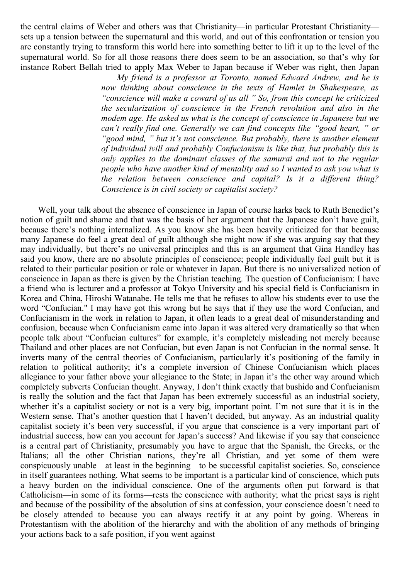the central claims of Weber and others was that Christianity—in particular Protestant Christianity sets up a tension between the supernatural and this world, and out of this confrontation or tension you are constantly trying to transform this world here into something better to lift it up to the level of the supernatural world. So for all those reasons there does seem to be an association, so that's why for instance Robert Bellah tried to apply Max Weber to Japan because if Weber was right, then Japan

*My friend is a professor at Toronto, named Edward Andrew, and he is now thinking about conscience in the texts of Hamlet in Shakespeare, as "conscience will make a coward of us all " So, from this concept he criticized the secularization of conscience in the French revolution and also in the modem age. He asked us what is the concept of conscience in Japanese but we can't really find one. Generally we can find concepts like "good heart, " or "good mind, " but it's not conscience. But probably, there is another element of individual ivill and probably Confucianism is like that, but probably this is only applies to the dominant classes of the samurai and not to the regular people who have another kind of mentality and so I wanted to ask you what is the relation between conscience and capital? Is it a different thing? Conscience is in civil society or capitalist society?*

Well, your talk about the absence of conscience in Japan of course harks back to Ruth Benedict's notion of guilt and shame and that was the basis of her argument that the Japanese don't have guilt, because there's nothing internalized. As you know she has been heavily criticized for that because many Japanese do feel a great deal of guilt although she might now if she was arguing say that they may individually, but there's no universal principles and this is an argument that Gina Handley has said you know, there are no absolute principles of conscience; people individually feel guilt but it is related to their particular position or role or whatever in Japan. But there is no universalized notion of conscience in Japan as there is given by the Christian teaching. The question of Confucianism: I have a friend who is lecturer and a professor at Tokyo University and his special field is Confucianism in Korea and China, Hiroshi Watanabe. He tells me that he refuses to allow his students ever to use the word "Confucian." I may have got this wrong but he says that if they use the word Confucian, and Confucianism in the work in relation to Japan, it often leads to a great deal of misunderstanding and confusion, because when Confucianism came into Japan it was altered very dramatically so that when people talk about "Confucian cultures" for example, it's completely misleading not merely because Thailand and other places are not Confucian, but even Japan is not Confucian in the normal sense. It inverts many of the central theories of Confucianism, particularly it's positioning of the family in relation to political authority; it's a complete inversion of Chinese Confucianism which places allegiance to your father above your allegiance to the State; in Japan it's the other way around which completely subverts Confucian thought. Anyway, I don't think exactly that bushido and Confucianism is really the solution and the fact that Japan has been extremely successful as an industrial society, whether it's a capitalist society or not is a very big, important point. I'm not sure that it is in the Western sense. That's another question that I haven't decided, but anyway. As an industrial quality capitalist society it's been very successful, if you argue that conscience is a very important part of industrial success, how can you account for Japan's success? And likewise if you say that conscience is a central part of Christianity, presumably you have to argue that the Spanish, the Greeks, or the Italians; all the other Christian nations, they're all Christian, and yet some of them were conspicuously unable—at least in the beginning—to be successful capitalist societies. So, conscience in itself guarantees nothing. What seems to be important is a particular kind of conscience, which puts a heavy burden on the individual conscience. One of the arguments often put forward is that Catholicism—in some of its forms—rests the conscience with authority; what the priest says is right and because of the possibility of the absolution of sins at confession, your conscience doesn't need to be closely attended to because you can always rectify it at any point by going. Whereas in Protestantism with the abolition of the hierarchy and with the abolition of any methods of bringing your actions back to a safe position, if you went against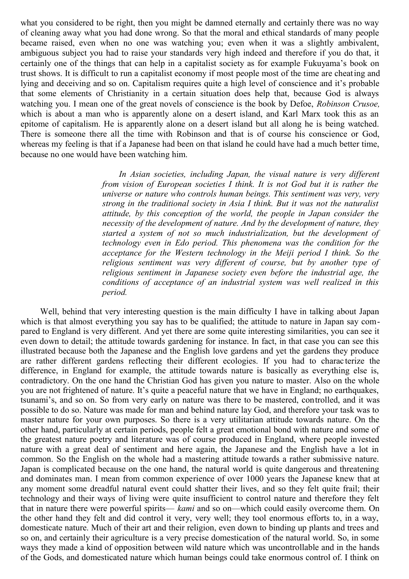what you considered to be right, then you might be damned eternally and certainly there was no way of cleaning away what you had done wrong. So that the moral and ethical standards of many people became raised, even when no one was watching you; even when it was a slightly ambivalent, ambiguous subject you had to raise your standards very high indeed and therefore if you do that, it certainly one of the things that can help in a capitalist society as for example Fukuyama's book on trust shows. It is difficult to run a capitalist economy if most people most of the time are cheating and lying and deceiving and so on. Capitalism requires quite a high level of conscience and it's probable that some elements of Christianity in a certain situation does help that, because God is always watching you. I mean one of the great novels of conscience is the book by Defoe, *Robinson Crusoe,* which is about a man who is apparently alone on a desert island, and Karl Marx took this as an epitome of capitalism. He is apparently alone on a desert island but all along he is being watched. There is someone there all the time with Robinson and that is of course his conscience or God, whereas my feeling is that if a Japanese had been on that island he could have had a much better time, because no one would have been watching him.

> *In Asian societies, including Japan, the visual nature is very different from vision of European societies I think. It is not God but it is rather the universe or nature who controls human beings. This sentiment was very, very strong in the traditional society in Asia I think. But it was not the naturalist attitude, by this conception of the world, the people in Japan consider the necessity of the development of nature. And by the development of nature, they started a system of not so much industrialization, but the development of technology even in Edo period. This phenomena was the condition for the acceptance for the Western technology in the Meiji period I think. So the religious sentiment was very different of course, but by another type of religious sentiment in Japanese society even before the industrial age, the conditions of acceptance of an industrial system was well realized in this period.*

Well, behind that very interesting question is the main difficulty I have in talking about Japan which is that almost everything you say has to be qualified; the attitude to nature in Japan say compared to England is very different. And yet there are some quite interesting similarities, you can see it even down to detail; the attitude towards gardening for instance. In fact, in that case you can see this illustrated because both the Japanese and the English love gardens and yet the gardens they produce are rather different gardens reflecting their different ecologies. If you had to charac terize the difference, in England for example, the attitude towards nature is basically as everything else is, contradictory. On the one hand the Christian God has given you nature to master. Also on the whole you are not frightened of nature. It's quite a peaceful nature that we have in England; no earthquakes, tsunami's, and so on. So from very early on nature was there to be mastered, controlled, and it was possible to do so. Nature was made for man and behind nature lay God, and therefore your task was to master nature for your own purposes. So there is a very utilitarian attitude towards nature. On the other hand, particularly at certain periods, people felt a great emotional bond with nature and some of the greatest nature poetry and literature was of course produced in England, where people invested nature with a great deal of sentiment and here again, the Japanese and the English have a lot in common. So the English on the whole had a mastering attitude towards a rather submissive nature. Japan is complicated because on the one hand, the natural world is quite dangerous and threatening and dominates man. I mean from common experience of over 1000 years the Japanese knew that at any moment some dreadful natural event could shatter their lives, and so they felt quite frail; their technology and their ways of living were quite insufficient to control nature and therefore they felt that in nature there were powerful spirits— *kami* and so on—which could easily overcome them. On the other hand they felt and did control it very, very well; they tool enormous efforts to, in a way, domesticate nature. Much of their art and their religion, even down to binding up plants and trees and so on, and certainly their agriculture is a very precise domestication of the natural world. So, in some ways they made a kind of opposition between wild nature which was uncontrollable and in the hands of the Gods, and domesticated nature which human beings could take enormous control of. I think on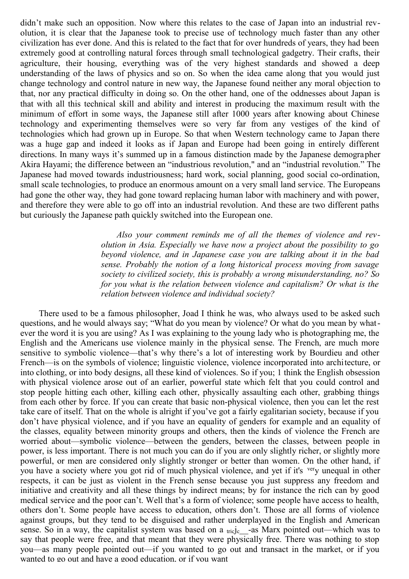didn't make such an opposition. Now where this relates to the case of Japan into an industrial revolution, it is clear that the Japanese took to precise use of technology much faster than any other civilization has ever done. And this is related to the fact that for over hundreds of years, they had been extremely good at controlling natural forces through small technological gadgetry. Their crafts, their agriculture, their housing, everything was of the very highest standards and showed a deep understanding of the laws of physics and so on. So when the idea came along that you would just change technology and control nature in new way, the Japanese found neither any moral objection to that, nor any practical difficulty in doing so. On the other hand, one of the oddnesses about Japan is that with all this technical skill and ability and interest in producing the maximum result with the minimum of effort in some ways, the Japanese still after 1000 years after knowing about Chinese technology and experimenting themselves were so very far from any vestiges of the kind of technologies which had grown up in Europe. So that when Western technology came to Japan there was a huge gap and indeed it looks as if Japan and Europe had been going in entirely different directions. In many ways it's summed up in a famous distinction made by the Japanese demographer Akira Hayami; the difference between an "industrious revolution," and an "industrial revolution." The Japanese had moved towards industriousness; hard work, social planning, good social co-ordination, small scale technologies, to produce an enormous amount on a very small land service. The Europeans had gone the other way, they had gone toward replacing human labor with machinery and with power, and therefore they were able to go off into an industrial revolution. And these are two different paths but curiously the Japanese path quickly switched into the European one.

> *Also your comment reminds me of all the themes of violence and revolution in Asia. Especially we have now a project about the possibility to go beyond violence, and in Japanese case you are talking about it in the bad sense. Probably the notion of a long historical process moving from savage society to civilized society, this is probably a wrong misunderstanding, no? So for you what is the relation between violence and capitalism? Or what is the relation between violence and individual society?*

There used to be a famous philosopher, Joad I think he was, who always used to be asked such questions, and he would always say; "What do you mean by violence? Or what do you mean by whatever the word it is you are using? As I was explaining to the young lady who is photographing me, the English and the Americans use violence mainly in the physical sense. The French, are much more sensitive to symbolic violence—that's why there's a lot of interesting work by Bourdieu and other French—is on the symbols of violence; linguistic violence, violence incorporated into architecture, or into clothing, or into body designs, all these kind of violences. So if you; 1 think the English obsession with physical violence arose out of an earlier, powerful state which felt that you could control and stop people hitting each other, killing each other, physically assaulting each other, grabbing things from each other by force. If you can create that basic non-physical violence, then you can let the rest take care of itself. That on the whole is alright if you've got a fairly egalitarian society, because if you don't have physical violence, and if you have an equality of genders for example and an equality of the classes, equality between minority groups and others, then the kinds of violence the French are worried about—symbolic violence—between the genders, between the classes, between people in power, is less important. There is not much you can do if you are only slightly richer, or slightly more powerful, or men are considered only slightly stronger or better than women. On the other hand, if you have a society where you got rid of much physical violence, and yet if it's very unequal in other respects, it can be just as violent in the French sense because you just suppress any freedom and initiative and creativity and all these things by indirect means; by for instance the rich can by good medical service and the poor can't. Well that's a form of violence; some people have access to health, others don't. Some people have access to education, others don't. Those are all forms of violence against groups, but they tend to be disguised and rather underplayed in the English and American sense. So in a way, the capitalist system was based on a  $tric$  -as Marx pointed out—which was to say that people were free, and that meant that they were physically free. There was nothing to stop you—as many people pointed out—if you wanted to go out and transact in the market, or if you wanted to go out and have a good education, or if you want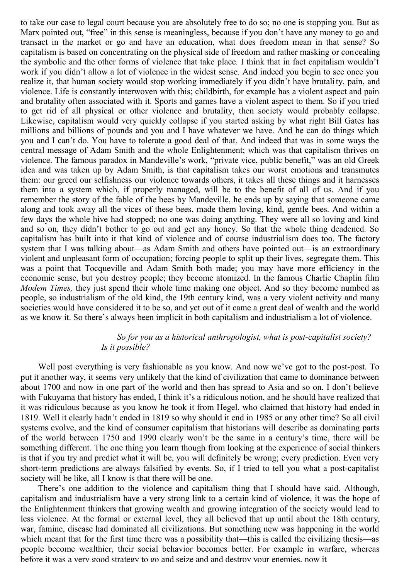to take our case to legal court because you are absolutely free to do so; no one is stopping you. But as Marx pointed out, "free" in this sense is meaningless, because if you don't have any money to go and transact in the market or go and have an education, what does freedom mean in that sense? So capitalism is based on concentrating on the physical side of freedom and rather masking or concealing the symbolic and the other forms of violence that take place. I think that in fact capitalism wouldn't work if you didn't allow a lot of violence in the widest sense. And indeed you begin to see once you realize it, that human society would stop working immediately if you didn't have brutality, pain, and violence. Life is constantly interwoven with this; childbirth, for example has a violent aspect and pain and brutality often associated with it. Sports and games have a violent aspect to them. So if you tried to get rid of all physical or other violence and brutality, then society would probably collapse. Likewise, capitalism would very quickly collapse if you started asking by what right Bill Gates has millions and billions of pounds and you and I have whatever we have. And he can do things which you and I can't do. You have to tolerate a good deal of that. And indeed that was in some ways the central message of Adam Smith and the whole Enlightenment; which was that capitalism thrives on violence. The famous paradox in Mandeville's work, "private vice, public benefit," was an old Greek idea and was taken up by Adam Smith, is that capitalism takes our worst emotions and transmutes them: our greed our selfishness our violence towards others, it takes all these things and it harnesses them into a system which, if properly managed, will be to the benefit of all of us. And if you remember the story of the fable of the bees by Mandeville, he ends up by saying that someone came along and took away all the vices of these bees, made them loving, kind, gentle bees. And within a few days the whole hive had stopped; no one was doing anything. They were all so loving and kind and so on, they didn't bother to go out and get any honey. So that the whole thing deadened. So capitalism has built into it that kind of violence and of course industrialism does too. The factory system that I was talking about—as Adam Smith and others have pointed out—is an extraordinary violent and unpleasant form of occupation; forcing people to split up their lives, segregate them. This was a point that Tocqueville and Adam Smith both made; you may have more efficiency in the economic sense, but you destroy people; they become atomized. In the famous Charlie Chaplin film *Modem Times,* they just spend their whole time making one object. And so they become numbed as people, so industrialism of the old kind, the 19th century kind, was a very violent activity and many societies would have considered it to be so, and yet out of it came a great deal of wealth and the world as we know it. So there's always been implicit in both capitalism and industrialism a lot of violence.

## *So for you as a historical anthropologist, what is post-capitalist society? Is it possible?*

Well post everything is very fashionable as you know. And now we've got to the post-post. To put it another way, it seems very unlikely that the kind of civilization that came to dominance between about 1700 and now in one part of the world and then has spread to Asia and so on. I don't believe with Fukuyama that history has ended, I think it's a ridiculous notion, and he should have realized that it was ridiculous because as you know he took it from Hegel, who claimed that history had ended in 1819. Well it clearly hadn't ended in 1819 so why should it end in 1985 or any other time? So all civil systems evolve, and the kind of consumer capitalism that historians will describe as dominating parts of the world between 1750 and 1990 clearly won't be the same in a century's time, there will be something different. The one thing you learn though from looking at the experience of social thinkers is that if you try and predict what it will be, you will definitely be wrong; every prediction. Even very short-term predictions are always falsified by events. So, if I tried to tell you what a post-capitalist society will be like, all I know is that there will be one.

There's one addition to the violence and capitalism thing that I should have said. Although, capitalism and industrialism have a very strong link to a certain kind of violence, it was the hope of the Enlightenment thinkers that growing wealth and growing integration of the society would lead to less violence. At the formal or external level, they all believed that up until about the 18th century, war, famine, disease had dominated all civilizations. But something new was happening in the world which meant that for the first time there was a possibility that—this is called the civilizing thesis—as people become wealthier, their social behavior becomes better. For example in warfare, whereas before it was a very good strategy to go and seize and and destroy your enemies, now it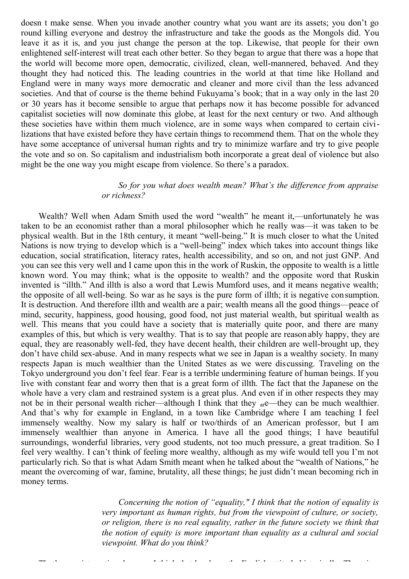doesn t make sense. When you invade another country what you want are its assets; you don't go round killing everyone and destroy the infrastructure and take the goods as the Mongols did. You leave it as it is, and you just change the person at the top. Likewise, that people for their own enlightened self-interest will treat each other better. So they began to argue that there was a hope that the world will become more open, democratic, civilized, clean, well-mannered, behaved. And they thought they had noticed this. The leading countries in the world at that time like Holland and England were in many ways more democratic and cleaner and more civil than the less advanced societies. And that of course is the theme behind Fukuyama's book; that in a way only in the last 20 or 30 years has it become sensible to argue that perhaps now it has become possible for advanced capitalist societies will now dominate this globe, at least for the next century or two. And although these societies have within them much violence, are in some ways when compared to certain civilizations that have existed before they have certain things to recommend them. That on the whole they have some acceptance of universal human rights and try to minimize warfare and try to give people the vote and so on. So capitalism and industrialism both incorporate a great deal of violence but also might be the one way you might escape from violence. So there's a paradox.

## *So for you what does wealth mean? What's the difference from appraise or richness?*

Wealth? Well when Adam Smith used the word "wealth" he meant it,—unfortunately he was taken to be an economist rather than a moral philosopher which he really was—it was taken to be physical wealth. But in the 18th century, it meant "well-being." It is much closer to what the United Nations is now trying to develop which is a "well-being" index which takes into account things like education, social stratification, literacy rates, health accessibility, and so on, and not just GNP. And you can see this very well and I came upon this in the work of Ruskin, the opposite to wealth is a little known word. You may think; what is the opposite to wealth? and the opposite word that Ruskin invented is "illth." And illth is also a word that Lewis Mumford uses, and it means negative wealth; the opposite of all well-being. So war as he says is the pure form of illth; it is negative consumption. It is destruction. And therefore illth and wealth are a pair; wealth means all the good things—peace of mind, security, happiness, good housing, good food, not just material wealth, but spiritual wealth as well. This means that you could have a society that is materially quite poor, and there are many examples of this, but which is very wealthy. That is to say that people are reason ably happy, they are equal, they are reasonably well-fed, they have decent health, their children are well-brought up, they don't have child sex-abuse. And in many respects what we see in Japan is a wealthy society. In many respects Japan is much wealthier than the United States as we were discussing. Traveling on the Tokyo underground you don't feel fear. Fear is a terrible undermining feature of human beings. If you live with constant fear and worry then that is a great form of illth. The fact that the Japanese on the whole have a very clam and restrained system is a great plus. And even if in other respects they may not be in their personal wealth richer—although I think that they  $_{\text{ar}}e$ —they can be much wealthier. And that's why for example in England, in a town like Cambridge where I am teaching I feel immensely wealthy. Now my salary is half or two/thirds of an American professor, but I am immensely wealthier than anyone in America. I have all the good things; I have beautiful surroundings, wonderful libraries, very good students, not too much pressure, a great tradition. So I feel very wealthy. I can't think of feeling more wealthy, although as my wife would tell you I'm not particularly rich. So that is what Adam Smith meant when he talked about the "wealth of Nations," he meant the overcoming of war, famine, brutality, all these things; he just didn't mean becoming rich in money terms.

> *Concerning the notion of "equality," I think that the notion of equality is very important as human rights, but from the viewpoint of culture, or society, or religion, there is no real equality, rather in the future society we think that the notion of equity is more important than equality as a cultural and social viewpoint. What do you think?*

That's very interesting, because I think that has been the English attitude historical the English attitude hi<br>There is a first officially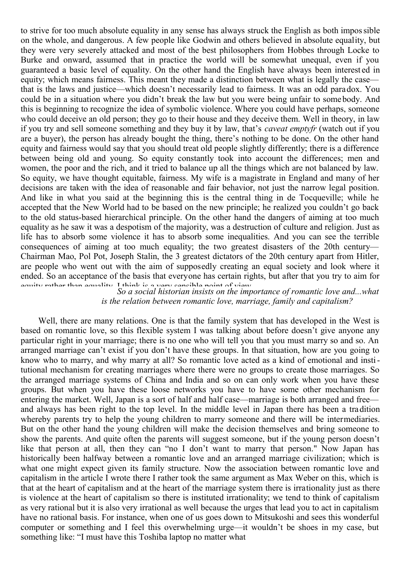to strive for too much absolute equality in any sense has always struck the English as both impossible on the whole, and dangerous. A few people like Godwin and others believed in absolute equality, but they were very severely attacked and most of the best philosophers from Hobbes through Locke to Burke and onward, assumed that in practice the world will be somewhat unequal, even if you guaranteed a basic level of equality. On the other hand the English have always been interest ed in equity; which means fairness. This meant they made a distinction between what is legally the case that is the laws and justice—which doesn't necessarily lead to fairness. It was an odd paradox. You could be in a situation where you didn't break the law but you were being unfair to somebody. And this is beginning to recognize the idea of symbolic violence. Where you could have perhaps, someone who could deceive an old person; they go to their house and they deceive them. Well in theory, in law if you try and sell someone something and they buy it by law, that's *caveat emptyfr* (watch out if you are a buyer), the person has already bought the thing, there's nothing to be done. On the other hand equity and fairness would say that you should treat old people slightly differently; there is a difference between being old and young. So equity constantly took into account the differences; men and women, the poor and the rich, and it tried to balance up all the things which are not balanced by law. So equity, we have thought equitable, fairness. My wife is a magistrate in England and many of her decisions are taken with the idea of reasonable and fair behavior, not just the narrow legal position. And like in what you said at the beginning this is the central thing in de Tocqueville; while he accepted that the New World had to be based on the new principle; he realized you couldn't go back to the old status-based hierarchical principle. On the other hand the dangers of aiming at too much equality as he saw it was a despotism of the majority, was a destruction of culture and religion. Just as life has to absorb some violence it has to absorb some inequalities. And you can see the terrible consequences of aiming at too much equality; the two greatest disasters of the 20th century— Chairman Mao, Pol Pot, Joseph Stalin, the 3 greatest dictators of the 20th century apart from Hitler, are people who went out with the aim of supposedly creating an equal society and look where it ended. So an acceptance of the basis that everyone has certain rights, but after that you try to aim for countrier than equality. I think is a very consible point of view.

So a social historian insists on the importance of romantic love and...what *is the relation between romantic love, marriage, family and capitalism?*

Well, there are many relations. One is that the family system that has developed in the West is based on romantic love, so this flexible system I was talking about before doesn't give anyone any particular right in your marriage; there is no one who will tell you that you must marry so and so. An arranged marriage can't exist if you don't have these groups. In that situation, how are you going to know who to marry, and why marry at all? So romantic love acted as a kind of emotional and institutional mechanism for creating marriages where there were no groups to create those marriages. So the arranged marriage systems of China and India and so on can only work when you have these groups. But when you have these loose networks you have to have some other mechanism for entering the market. Well, Japan is a sort of half and half case—marriage is both arranged and free and always has been right to the top level. In the middle level in Japan there has been a tradition whereby parents try to help the young children to marry someone and there will be intermediaries. But on the other hand the young children will make the decision themselves and bring someone to show the parents. And quite often the parents will suggest someone, but if the young person doesn't like that person at all, then they can "no I don't want to marry that person." Now Japan has historically been halfway between a romantic love and an arranged marriage civilization; which is what one might expect given its family structure. Now the association between romantic love and capitalism in the article I wrote there I rather took the same argument as Max Weber on this, which is that at the heart of capitalism and at the heart of the marriage system there is irrationality just as there is violence at the heart of capitalism so there is instituted irrationality; we tend to think of capitalism as very rational but it is also very irrational as well because the urges that lead you to act in capitalism have no rational basis. For instance, when one of us goes down to Mitsukoshi and sees this wonderful computer or something and I feel this overwhelming urge—it wouldn't be shoes in my case, but something like: "I must have this Toshiba laptop no matter what